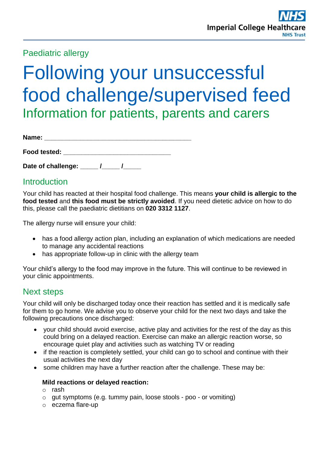## Paediatric allergy

# Following your unsuccessful food challenge/supervised feed Information for patients, parents and carers

| Name: |  |
|-------|--|
|       |  |

**Food tested:**  $\blacksquare$ 

Date of challenge: \_\_\_\_\_ /\_\_\_\_\_ /\_\_\_\_\_

## **Introduction**

Your child has reacted at their hospital food challenge. This means **your child is allergic to the food tested** and **this food must be strictly avoided**. If you need dietetic advice on how to do this, please call the paediatric dietitians on **020 3312 1127**.

The allergy nurse will ensure your child:

- has a food allergy action plan, including an explanation of which medications are needed to manage any accidental reactions
- has appropriate follow-up in clinic with the allergy team

Your child's allergy to the food may improve in the future. This will continue to be reviewed in your clinic appointments.

## Next steps

Your child will only be discharged today once their reaction has settled and it is medically safe for them to go home. We advise you to observe your child for the next two days and take the following precautions once discharged:

- your child should avoid exercise, active play and activities for the rest of the day as this could bring on a delayed reaction. Exercise can make an allergic reaction worse, so encourage quiet play and activities such as watching TV or reading
- if the reaction is completely settled, your child can go to school and continue with their usual activities the next day
- some children may have a further reaction after the challenge. These may be:

### **Mild reactions or delayed reaction:**

- o rash
- o gut symptoms (e.g. tummy pain, loose stools poo or vomiting)
- o eczema flare-up